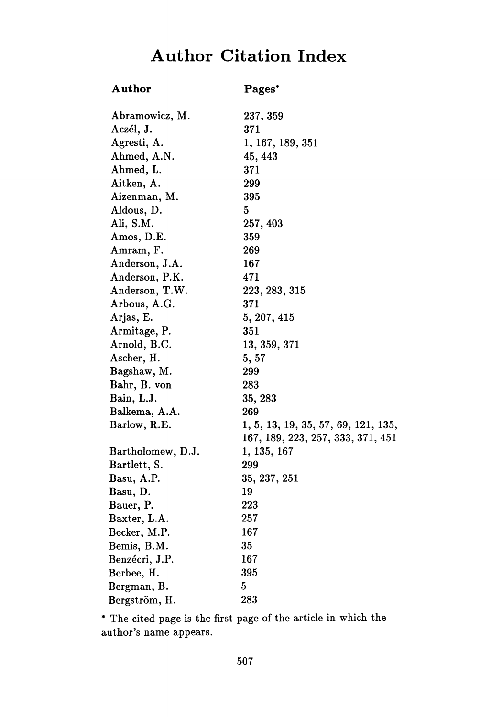## **Author Citation Index**

## **Author Pages\***

| Abramowicz, M.    | 237, 359                            |
|-------------------|-------------------------------------|
| Aczél, J.         | 371                                 |
| Agresti, A.       | 1, 167, 189, 351                    |
| Ahmed, A.N.       | 45, 443                             |
| Ahmed, L.         | 371                                 |
| Aitken, A.        | 299                                 |
| Aizenman, M.      | 395                                 |
| Aldous, D.        | 5                                   |
| Ali, S.M.         | 257, 403                            |
| Amos, D.E.        | 359                                 |
| Amram, F.         | 269                                 |
| Anderson, J.A.    | 167                                 |
| Anderson, P.K.    | 471                                 |
| Anderson, T.W.    | 223, 283, 315                       |
| Arbous, A.G.      | 371                                 |
| Arjas, E.         | 5, 207, 415                         |
| Armitage, P.      | 351                                 |
| Arnold, B.C.      | 13, 359, 371                        |
| Ascher, H.        | 5,57                                |
| Bagshaw, M.       | 299                                 |
| Bahr, B. von      | 283                                 |
| Bain, L.J.        | 35, 283                             |
| Balkema, A.A.     | 269                                 |
| Barlow, R.E.      | 1, 5, 13, 19, 35, 57, 69, 121, 135, |
|                   | 167, 189, 223, 257, 333, 371, 451   |
| Bartholomew, D.J. | 1, 135, 167                         |
| Bartlett, S.      | 299                                 |
| Basu, A.P.        | 35, 237, 251                        |
| Basu, D.          | 19                                  |
| Bauer, P.         | 223                                 |
| Baxter, L.A.      | 257                                 |
| Becker, M.P.      | 167                                 |
| Bemis, B.M.       | 35                                  |
| Benzécri, J.P.    | 167                                 |
| Berbee, H.        | 395                                 |
| Bergman, B.       | $\overline{5}$                      |
| Bergström, H.     | 283                                 |
|                   |                                     |

\* The cited page is the first page of the article in which the author's name appears.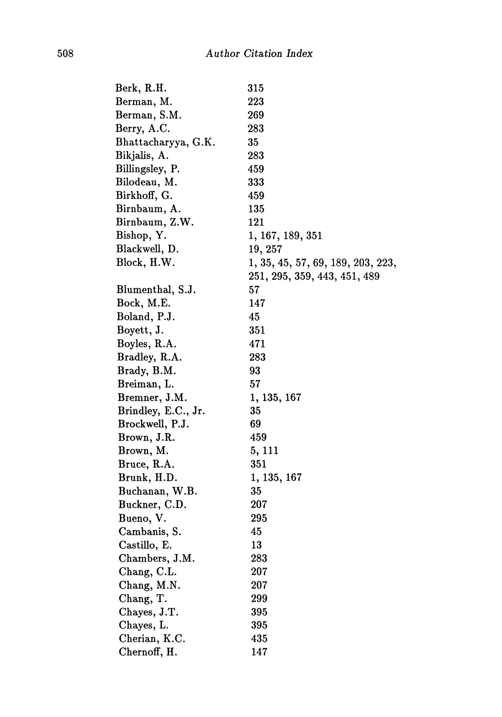| Berk, R.H.          | 315                               |
|---------------------|-----------------------------------|
| Berman, M.          | 223                               |
| Berman, S.M.        | 269                               |
| Berry, A.C.         | 283                               |
| Bhattacharyya, G.K. | 35                                |
| Bikjalis, A.        | 283                               |
| Billingsley, P.     | 459                               |
| Bilodeau, M.        | 333                               |
| Birkhoff, G.        | 459                               |
| Birnbaum, A.        | 135                               |
| Birnbaum, Z.W.      | 121                               |
| Bishop, Y.          | 1, 167, 189, 351                  |
| Blackwell, D.       | 19, 257                           |
| Block, H.W.         | 1, 35, 45, 57, 69, 189, 203, 223, |
|                     | 251, 295, 359, 443, 451, 489      |
| Blumenthal, S.J.    | 57                                |
| Bock, M.E.          | 147                               |
| Boland, P.J.        | 45                                |
| Boyett, J.          | 351                               |
| Boyles, R.A.        | 471                               |
| Bradley, R.A.       | 283                               |
| Brady, B.M.         | 93                                |
| Breiman, L.         | 57                                |
| Bremner, J.M.       | 1, 135, 167                       |
| Brindley, E.C., Jr. | 35                                |
| Brockwell, P.J.     | 69                                |
| Brown, J.R.         | 459                               |
| Brown, M.           | 5, 111                            |
| Bruce, R.A.         | 351                               |
| Brunk, H.D.         | 1, 135, 167                       |
| Buchanan, W.B.      | 35                                |
| Buckner, C.D.       | 207                               |
| Bueno, V.           | 295                               |
| Cambanis, S.        | 45                                |
| Castillo, E.        | 13                                |
| Chambers, J.M.      | 283                               |
| Chang, C.L.         | 207                               |
| Chang, M.N.         | 207                               |
| Chang, T.           | 299                               |
| Chayes, J.T.        | 395                               |
| Chayes, L.          | 395                               |
| Cherian, K.C.       | 435                               |
| Chernoff, H.        | 147                               |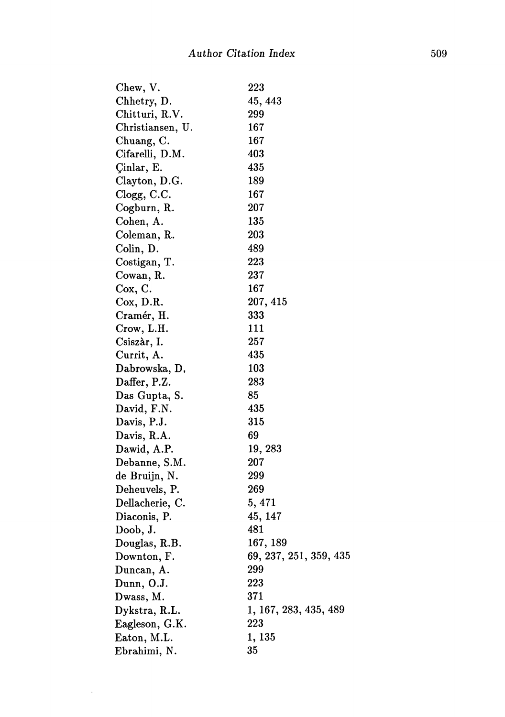| $^{223}$               |
|------------------------|
| 45, 443                |
| 299                    |
| 167                    |
| 167                    |
| 403                    |
| 435                    |
| 189                    |
| 167                    |
| 207                    |
| 135                    |
| 203                    |
| 489                    |
| 223                    |
| 237                    |
| 167                    |
| 207, 415               |
| 333                    |
| 111                    |
| 257                    |
| 435                    |
| 103                    |
| 283                    |
| 85                     |
| 435                    |
| 315                    |
| 69                     |
| 19, 283                |
| 207                    |
| 299                    |
| 269                    |
| 5, 471                 |
| 45, 147                |
| 481                    |
| 167, 189               |
| 69, 237, 251, 359, 435 |
| 299                    |
| 223                    |
| 371                    |
| 1, 167, 283, 435, 489  |
| 223                    |
| 1,135                  |
| 35                     |
|                        |

 $\sim 400$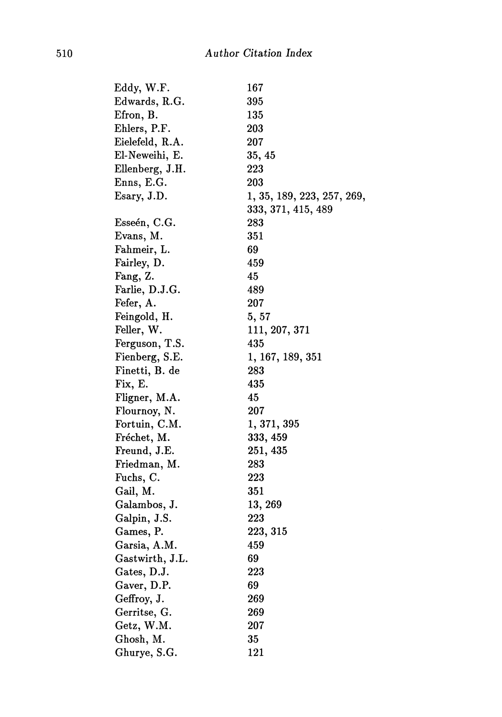| Eddy, W.F.      | 167                        |
|-----------------|----------------------------|
| Edwards, R.G.   | 395                        |
| Efron, B.       | 135                        |
| Ehlers, P.F.    | 203                        |
| Eielefeld, R.A. | 207                        |
| El-Neweihi, E.  | 35, 45                     |
| Ellenberg, J.H. | 223                        |
| Enns, E.G.      | 203                        |
| Esary, J.D.     | 1, 35, 189, 223, 257, 269, |
|                 | 333, 371, 415, 489         |
| Esseén, C.G.    | 283                        |
| Evans, M.       | 351                        |
| Fahmeir, L.     | 69                         |
| Fairley, D.     | 459                        |
| Fang, Z.        | 45                         |
| Farlie, D.J.G.  | 489                        |
| Fefer, A.       | 207                        |
| Feingold, H.    | 5, 57                      |
| Feller, W.      | 111, 207, 371              |
| Ferguson, T.S.  | 435                        |
| Fienberg, S.E.  | $1,\,167,\,189,\,351$      |
| Finetti, B. de  | 283                        |
| Fix, E.         | 435                        |
| Fligner, M.A.   | 45                         |
| Flournoy, N.    | 207                        |
| Fortuin, C.M.   | 1, 371, 395                |
| Fréchet, M.     | 333, 459                   |
| Freund, J.E.    | 251, 435                   |
| Friedman, M.    | 283                        |
| Fuchs, C.       | 223                        |
| Gail, M.        | 351                        |
| Galambos, J.    | 13, 269                    |
| Galpin, J.S.    | 223                        |
| Games, P.       | 223, 315                   |
| Garsia, A.M.    | 459                        |
| Gastwirth, J.L. | 69                         |
| Gates, D.J.     | 223                        |
| Gaver, D.P.     | 69                         |
| Geffroy, J.     | 269                        |
| Gerritse, G.    | 269                        |
| Getz, W.M.      | 207                        |
| Ghosh, M.       | 35                         |
| Ghurye, S.G.    | 121                        |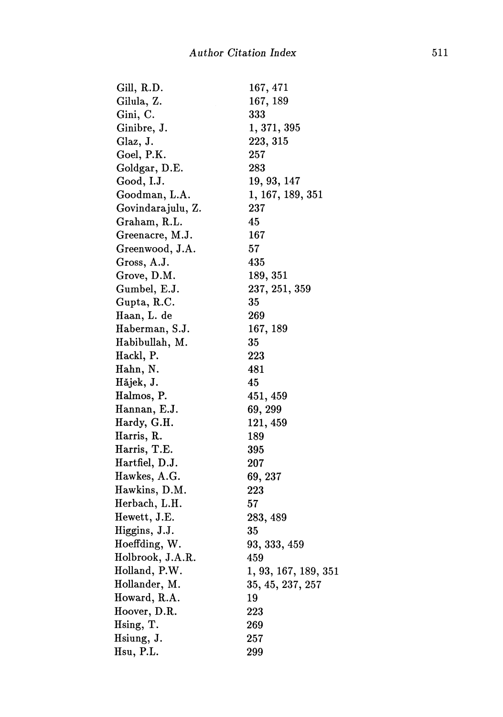| Gill, R.D.        | $167,\,471$          |
|-------------------|----------------------|
| Gilula, Z.        | 167, 189             |
| Gini, C.          | 333                  |
| Ginibre, J.       | 1,371,395            |
| Glaz, J.          | 223, 315             |
| Goel, P.K.        | 257                  |
| Goldgar, D.E.     | 283                  |
| Good, I.J.        | 19, 93, 147          |
| Goodman, L.A.     | 1, 167, 189, 351     |
| Govindarajulu, Z. | 237                  |
| Graham, R.L.      | 45                   |
| Greenacre, M.J.   | 167                  |
| Greenwood, J.A.   | 57                   |
| Gross, A.J.       | 435                  |
| Grove, D.M.       | 189,351              |
| Gumbel, E.J.      | 237, 251, 359        |
| Gupta, R.C.       | 35                   |
| Haan, L. de       | 269                  |
| Haberman, S.J.    | 167, 189             |
| Habibullah, M.    | 35                   |
| Hackl, P.         | 223                  |
| Hahn, N.          | 481                  |
| Hăjek, J.         | 45                   |
| Halmos, P.        | 451, 459             |
| Hannan, E.J.      | 69, 299              |
| Hardy, G.H.       | 121, 459             |
| Harris, R.        | 189                  |
| Harris, T.E.      | 395                  |
| Hartfiel, D.J.    | 207                  |
| Hawkes, A.G.      | 69, 237              |
| Hawkins, D.M.     | 223                  |
| Herbach, L.H.     | 57                   |
| Hewett, J.E.      | 283, 489             |
| Higgins, J.J.     | 35                   |
| Hoeffding, W.     | 93, 333, 459         |
| Holbrook, J.A.R.  | 459                  |
| Holland, P.W.     | 1, 93, 167, 189, 351 |
| Hollander, M.     | 35, 45, 237, 257     |
| Howard, R.A.      | 19                   |
| Hoover, D.R.      | 223                  |
| Hsing, T.         | 269                  |
| Hsiung, J.        | 257                  |
| Hsu, P.L.         | 299                  |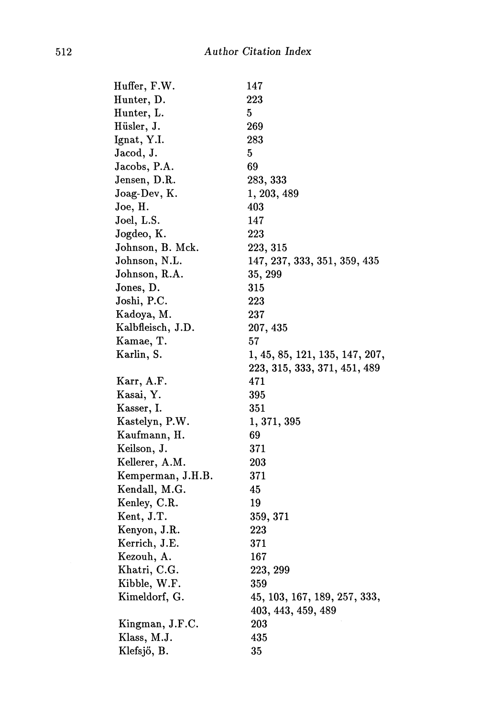| Huffer, F.W.      | 147                            |
|-------------------|--------------------------------|
| Hunter, D.        | 223                            |
| Hunter, L.        | 5                              |
| Hüsler, J.        | 269                            |
| Ignat, Y.I.       | 283                            |
| Jacod, J.         | 5                              |
| Jacobs, P.A.      | 69                             |
| Jensen, D.R.      | 283, 333                       |
| Joag-Dev, K.      | 1, 203, 489                    |
| Joe, H.           | 403                            |
| Joel, L.S.        | 147                            |
| Jogdeo, K.        | 223                            |
| Johnson, B. Mck.  | 223, 315                       |
| Johnson, N.L.     | 147, 237, 333, 351, 359, 435   |
| Johnson, R.A.     | 35, 299                        |
| Jones, D.         | 315                            |
| Joshi, P.C.       | 223                            |
| Kadoya, M.        | 237                            |
| Kalbfleisch, J.D. | 207, 435                       |
| Kamae, T.         | 57                             |
| Karlin, S.        | 1, 45, 85, 121, 135, 147, 207, |
|                   | 223, 315, 333, 371, 451, 489   |
| Karr, A.F.        | 471                            |
| Kasai, Y.         | 395                            |
| Kasser, I.        | 351                            |
| Kastelyn, P.W.    | 1, 371, 395                    |
| Kaufmann, H.      | 69                             |
| Keilson, J.       | 371                            |
| Kellerer, A.M.    | 203                            |
| Kemperman, J.H.B. | 371                            |
| Kendall, M.G.     | 45                             |
| Kenley, C.R.      | 19                             |
| Kent, J.T.        | 359, 371                       |
| Kenyon, J.R.      | 223                            |
| Kerrich, J.E.     | 371                            |
| Kezouh, A.        | 167                            |
| Khatri, C.G.      | 223, 299                       |
| Kibble, W.F.      | 359                            |
| Kimeldorf, G.     | 45, 103, 167, 189, 257, 333,   |
|                   | 403, 443, 459, 489             |
| Kingman, J.F.C.   | 203                            |
| Klass, M.J.       | 435                            |
| Klefsjö, B.       | 35                             |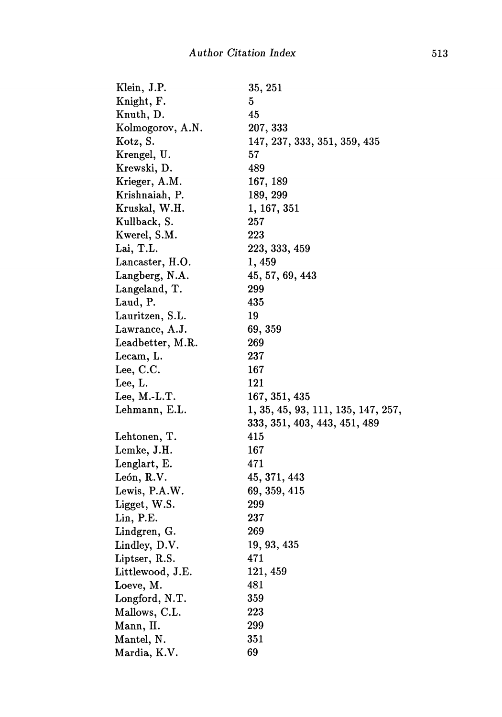| Klein, J.P.      | $35,\,251$                         |
|------------------|------------------------------------|
| Knight, F.       | 5                                  |
| Knuth, D.        | 45                                 |
| Kolmogorov, A.N. | 207, 333                           |
| Kotz, S.         | 147, 237, 333, 351, 359, 435       |
| Krengel, U.      | 57                                 |
| Krewski, D.      | 489                                |
| Krieger, A.M.    | 167, 189                           |
| Krishnaiah, P.   | 189, 299                           |
| Kruskal, W.H.    | 1, 167, 351                        |
| Kullback, S.     | 257                                |
| Kwerel, S.M.     | 223                                |
| Lai, T.L.        | 223, 333, 459                      |
| Lancaster, H.O.  | 1, 459                             |
| Langberg, N.A.   | 45, 57, 69, 443                    |
| Langeland, T.    | 299                                |
| Laud, P.         | 435                                |
| Lauritzen, S.L.  | 19                                 |
| Lawrance, A.J.   | 69, 359                            |
| Leadbetter, M.R. | 269                                |
| Lecam, L.        | 237                                |
| Lee, C.C.        | 167                                |
| Lee, L.          | 121                                |
| Lee, $M.-L.T.$   | 167, 351, 435                      |
| Lehmann, E.L.    | 1, 35, 45, 93, 111, 135, 147, 257, |
|                  | 333, 351, 403, 443, 451, 489       |
| Lehtonen, T.     | 415                                |
| Lemke, J.H.      | 167                                |
| Lenglart, E.     | 471                                |
| León, R.V.       | 45, 371, 443                       |
| Lewis, P.A.W.    | 69, 359, 415                       |
| Ligget, W.S.     | 299                                |
| Lin, P.E.        | 237                                |
| Lindgren, G.     | 269                                |
| Lindley, D.V.    | 19, 93, 435                        |
| Liptser, R.S.    | 471                                |
| Littlewood, J.E. | 121, 459                           |
| Loeve, M.        | 481                                |
| Longford, N.T.   | 359                                |
| Mallows, C.L.    | 223                                |
| Mann, H.         | 299                                |
| Mantel, N.       | 351                                |
| Mardia, K.V.     | 69                                 |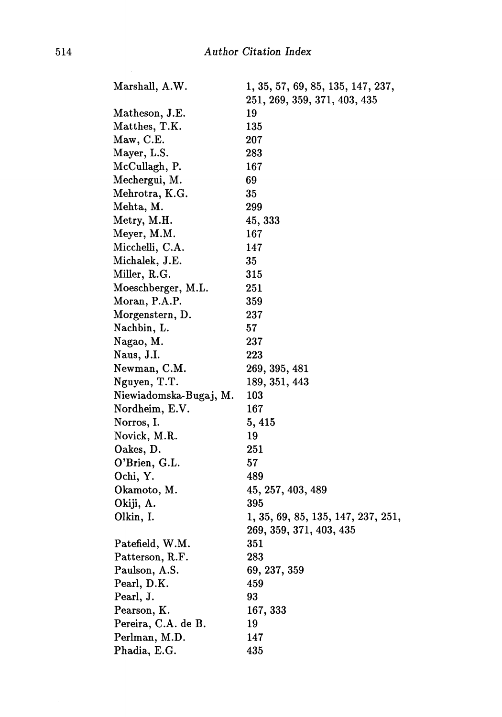| Marshall, A.W.         | 1, 35, 57, 69, 85, 135, 147, 237,  |
|------------------------|------------------------------------|
|                        | 251, 269, 359, 371, 403, 435       |
| Matheson, J.E.         | 19                                 |
| Matthes, T.K.          | 135                                |
| Maw, C.E.              | 207                                |
| Mayer, L.S.            | 283                                |
| McCullagh, P.          | 167                                |
| Mechergui, M.          | 69                                 |
| Mehrotra, K.G.         | 35                                 |
| Mehta, M.              | 299                                |
| Metry, M.H.            | 45, 333                            |
| Meyer, M.M.            | 167                                |
| Micchelli, C.A.        | 147                                |
| Michalek, J.E.         | 35                                 |
| Miller, R.G.           | 315                                |
| Moeschberger, M.L.     | 251                                |
| Moran, P.A.P.          | 359                                |
| Morgenstern, D.        | 237                                |
| Nachbin, L.            | 57                                 |
| Nagao, M.              | 237                                |
| Naus, J.I.             | 223                                |
| Newman, C.M.           | 269, 395, 481                      |
| Nguyen, T.T.           | 189, 351, 443                      |
| Niewiadomska-Bugaj, M. | 103                                |
| Nordheim, E.V.         | 167                                |
| Norros, I.             | 5,415                              |
| Novick, M.R.           | 19                                 |
| Oakes, D.              | 251                                |
| O'Brien, G.L.          | 57                                 |
| Ochi, Y.               | 489                                |
| Okamoto, M.            | 45, 257, 403, 489                  |
| Okiji, A.              | 395                                |
| Olkin, I.              | 1, 35, 69, 85, 135, 147, 237, 251, |
|                        | 269, 359, 371, 403, 435            |
| Patefield, W.M.        | 351                                |
| Patterson, R.F.        | 283                                |
| Paulson, A.S.          | 69, 237, 359                       |
| Pearl, D.K.            | 459                                |
| Pearl, J.              | 93                                 |
| Pearson, K.            | 167, 333                           |
| Pereira, C.A. de B.    | 19                                 |
| Perlman, M.D.          | 147                                |
| Phadia, E.G.           | 435                                |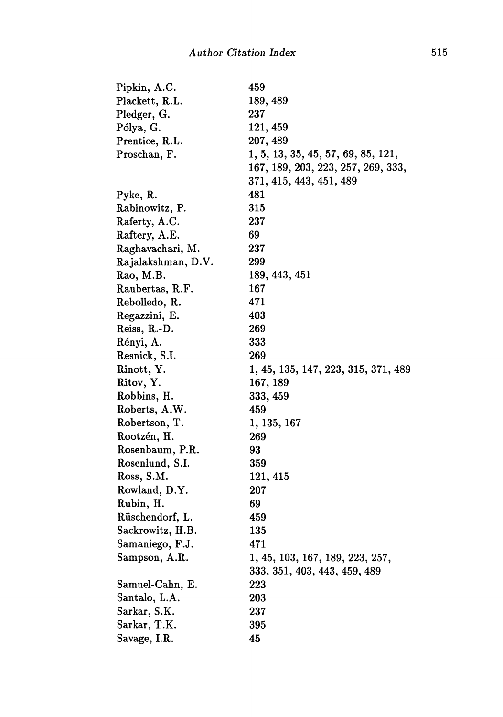| Pipkin, A.C.       | 459                                 |
|--------------------|-------------------------------------|
| Plackett, R.L.     | 189, 489                            |
| Pledger, G.        | 237                                 |
| Pólya, G.          | 121, 459                            |
| Prentice, R.L.     | 207, 489                            |
| Proschan, F.       | 1, 5, 13, 35, 45, 57, 69, 85, 121,  |
|                    | 167, 189, 203, 223, 257, 269, 333,  |
|                    | 371, 415, 443, 451, 489             |
| Pyke, R.           | 481                                 |
| Rabinowitz, P.     | 315                                 |
| Raferty, A.C.      | 237                                 |
| Raftery, A.E.      | 69                                  |
| Raghavachari, M.   | 237                                 |
| Rajalakshman, D.V. | 299                                 |
| Rao, M.B.          | 189, 443, 451                       |
| Raubertas, R.F.    | 167                                 |
| Rebolledo, R.      | 471                                 |
| Regazzini, E.      | 403                                 |
| Reiss, R.-D.       | 269                                 |
| Rényi, A.          | 333                                 |
| Resnick, S.I.      | 269                                 |
| Rinott, Y.         | 1, 45, 135, 147, 223, 315, 371, 489 |
| Ritov, Y.          | 167, 189                            |
| Robbins, H.        | 333, 459                            |
| Roberts, A.W.      | 459                                 |
| Robertson, T.      | 1, 135, 167                         |
| Rootzén, H.        | 269                                 |
| Rosenbaum, P.R.    | 93                                  |
| Rosenlund, S.I.    | 359                                 |
| Ross, S.M.         | 121, 415                            |
| Rowland, D.Y.      | 207                                 |
| Rubin, H.          | 69                                  |
| Rüschendorf, L.    | 459                                 |
| Sackrowitz, H.B.   | 135                                 |
| Samaniego, F.J.    | 471                                 |
| Sampson, A.R.      | 1, 45, 103, 167, 189, 223, 257,     |
|                    | 333, 351, 403, 443, 459, 489        |
| Samuel-Cahn, E.    | 223                                 |
| Santalo, L.A.      | 203                                 |
| Sarkar, S.K.       | 237                                 |
| Sarkar, T.K.       | 395                                 |
| Savage, I.R.       | 45                                  |
|                    |                                     |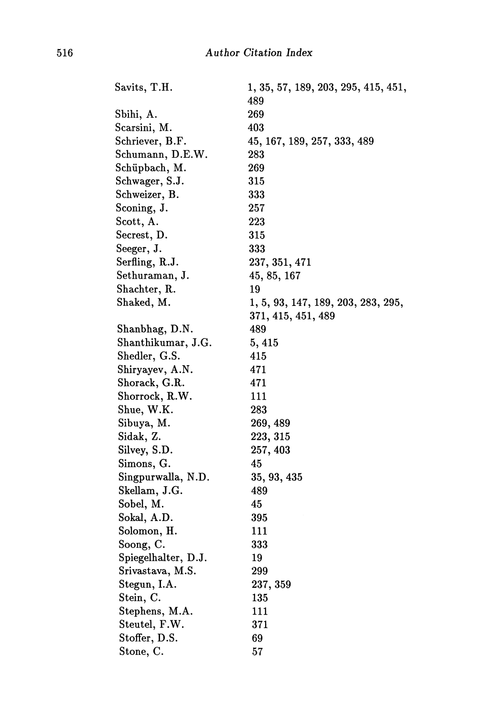| Savits, T.H.        | 1, 35, 57, 189, 203, 295, 415, 451, |
|---------------------|-------------------------------------|
|                     | 489                                 |
| Sbihi, A.           | 269                                 |
| Scarsini, M.        | 403                                 |
| Schriever, B.F.     | 45, 167, 189, 257, 333, 489         |
| Schumann, D.E.W.    | 283                                 |
| Schüpbach, M.       | 269                                 |
| Schwager, S.J.      | 315                                 |
| Schweizer, B.       | 333                                 |
| Sconing, J.         | 257                                 |
| Scott, A.           | 223                                 |
| Secrest, D.         | 315                                 |
| Seeger, J.          | 333                                 |
| Serfling, R.J.      | 237, 351, 471                       |
| Sethuraman, J.      | 45, 85, 167                         |
| Shachter, R.        | 19                                  |
| Shaked, M.          | 1, 5, 93, 147, 189, 203, 283, 295,  |
|                     | 371, 415, 451, 489                  |
| Shanbhag, D.N.      | 489                                 |
| Shanthikumar, J.G.  | 5,415                               |
| Shedler, G.S.       | 415                                 |
| Shiryayev, A.N.     | 471                                 |
| Shorack, G.R.       | 471                                 |
| Shorrock, R.W.      | 111                                 |
| Shue, W.K.          | 283                                 |
| Sibuya, M.          | 269, 489                            |
| Sidak, Z.           | 223, 315                            |
| Silvey, S.D.        | 257, 403                            |
| Simons, G.          | 45                                  |
| Singpurwalla, N.D.  | 35, 93, 435                         |
| Skellam, J.G.       | 489                                 |
| Sobel, M.           | 45                                  |
| Sokal, A.D.         | 395                                 |
| Solomon, H.         | 111                                 |
| Soong, C.           | 333                                 |
| Spiegelhalter, D.J. | 19                                  |
| Srivastava, M.S.    | 299                                 |
| Stegun, I.A.        | 237, 359                            |
| Stein, C.           | 135                                 |
| Stephens, M.A.      | 111                                 |
| Steutel, F.W.       | 371                                 |
| Stoffer, D.S.       | 69                                  |
| Stone, C.           | 57                                  |
|                     |                                     |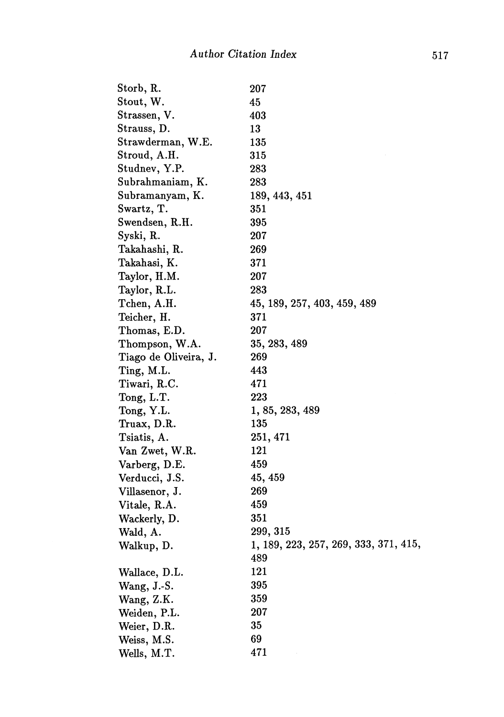| Storb, R.             | 207                                   |
|-----------------------|---------------------------------------|
| Stout, W.             | 45                                    |
| Strassen, V.          | 403                                   |
| Strauss, D.           | 13                                    |
| Strawderman, W.E.     | 135                                   |
| $\rm Stroud, \, A.H.$ | 315                                   |
| Studnev, Y.P.         | $\pmb{283}$                           |
| Subrahmaniam, K.      | 283                                   |
| Subramanyam, K.       | 189, 443, 451                         |
| Swartz, T.            | 351                                   |
| Swendsen, R.H.        | 395                                   |
| Syski, R.             | 207                                   |
| Takahashi, R.         | 269                                   |
| Takahasi, K.          | 371                                   |
| Taylor, H.M.          | 207                                   |
| Taylor, R.L.          | 283                                   |
| Tchen, A.H.           | 45, 189, 257, 403, 459, 489           |
| Teicher, H.           | 371                                   |
| Thomas, E.D.          | 207                                   |
| Thompson, W.A.        | 35, 283, 489                          |
| Tiago de Oliveira, J. | 269                                   |
| Ting, M.L.            | 443                                   |
| Tiwari, R.C.          | 471                                   |
| Tong, L.T.            | 223                                   |
| Tong, Y.L.            | 1, 85, 283, 489                       |
| Truax, D.R.           | 135                                   |
| Tsiatis, A.           | 251, 471                              |
| Van Zwet, W.R.        | 121                                   |
| Varberg, D.E.         | 459                                   |
| Verducci, J.S.        | 45, 459                               |
| Villasenor, J.        | 269                                   |
| Vitale, R.A.          | 459                                   |
| Wackerly, D.          | 351                                   |
| Wald, A.              | 299, 315                              |
| Walkup, D.            | 1, 189, 223, 257, 269, 333, 371, 415, |
|                       | 489                                   |
| Wallace, D.L.         | 121                                   |
| Wang, $J-S$ .         | 395                                   |
| Wang, Z.K.            | 359                                   |
| Weiden, P.L.          | 207                                   |
| Weier, D.R.           | 35                                    |
| Weiss, M.S.           | 69                                    |
| Wells, M.T.           | 471                                   |